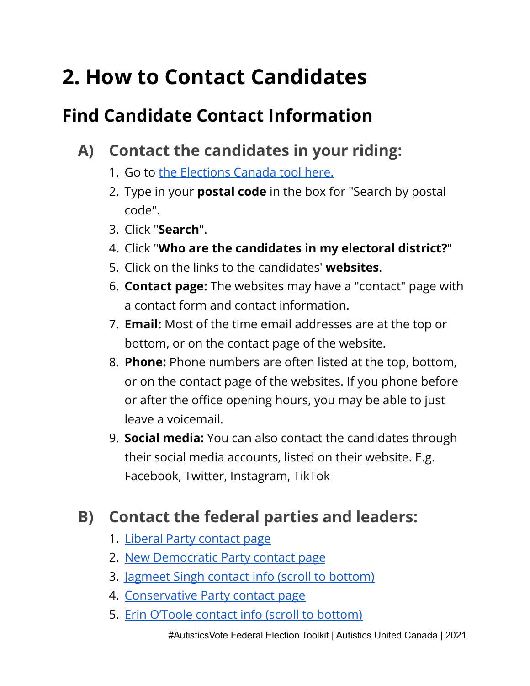## **2. How to Contact Candidates**

## **Find Candidate Contact Information**

- **A) Contact the candidates in your riding:**
	- 1. Go to the [Elections](https://www.elections.ca/Scripts/vis/FindED?L=e&QID=-1&PAGEID=20) Canada tool here.
	- 2. Type in your **postal code** in the box for "Search by postal code".
	- 3. Click "**Search**".
	- 4. Click "**Who are the candidates in my electoral district?**"
	- 5. Click on the links to the candidates' **websites**.
	- 6. **Contact page:** The websites may have a "contact" page with a contact form and contact information.
	- 7. **Email:** Most of the time email addresses are at the top or bottom, or on the contact page of the website.
	- 8. **Phone:** Phone numbers are often listed at the top, bottom, or on the contact page of the websites. If you phone before or after the office opening hours, you may be able to just leave a voicemail.
	- 9. **Social media:** You can also contact the candidates through their social media accounts, listed on their website. E.g. Facebook, Twitter, Instagram, TikTok

## **B) Contact the federal parties and leaders:**

- 1. Liberal Party [contact](https://liberal.ca/contact/) page
- 2. New [Democratic](https://www.ndp.ca/contact) Party contact page
- 3. [Jagmeet](https://jagmeetsingh.ndp.ca/) Singh contact info (scroll to bottom)
- 4. [Conservative](https://www.conservative.ca/contact/) Party contact page
- 5. Erin O'Toole contact info (scroll to [bottom\)](https://meet.erinotoole.ca/)